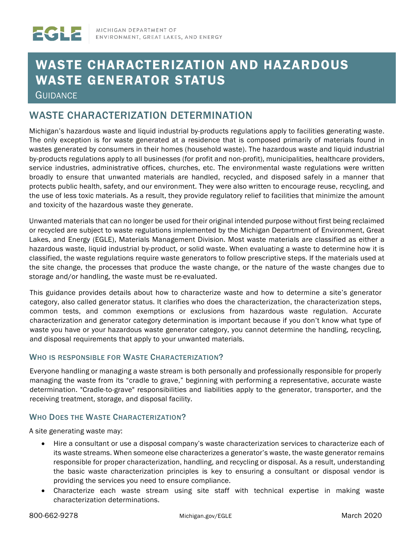# WASTE CHARACTERIZATION AND HAZARDOUS WASTE GENERATOR STATUS

**GUIDANCE** 

# WASTE CHARACTERIZATION DETERMINATION

Michigan's hazardous waste and liquid industrial by-products regulations apply to facilities generating waste. The only exception is for waste generated at a residence that is composed primarily of materials found in wastes generated by consumers in their homes (household waste). The hazardous waste and liquid industrial by-products regulations apply to all businesses (for profit and non-profit), municipalities, healthcare providers, service industries, administrative offices, churches, etc. The environmental waste regulations were written broadly to ensure that unwanted materials are handled, recycled, and disposed safely in a manner that protects public health, safety, and our environment. They were also written to encourage reuse, recycling, and the use of less toxic materials. As a result, they provide regulatory relief to facilities that minimize the amount and toxicity of the hazardous waste they generate.

Unwanted materials that can no longer be used for their original intended purpose without first being reclaimed or recycled are subject to waste regulations implemented by the Michigan Department of Environment, Great Lakes, and Energy (EGLE), Materials Management Division. Most waste materials are classified as either a hazardous waste, liquid industrial by-product, or solid waste. When evaluating a waste to determine how it is classified, the waste regulations require waste generators to follow prescriptive steps. If the materials used at the site change, the processes that produce the waste change, or the nature of the waste changes due to storage and/or handling, the waste must be re-evaluated.

This guidance provides details about how to characterize waste and how to determine a site's generator category, also called generator status. It clarifies who does the characterization, the characterization steps, common tests, and common exemptions or exclusions from hazardous waste regulation. Accurate characterization and generator category determination is important because if you don't know what type of waste you have or your hazardous waste generator category, you cannot determine the handling, recycling, and disposal requirements that apply to your unwanted materials.

#### WHO IS RESPONSIBLE FOR WASTE CHARACTERIZATION?

Everyone handling or managing a waste stream is both personally and professionally responsible for properly managing the waste from its "cradle to grave," beginning with performing a representative, accurate waste determination. "Cradle-to-grave" responsibilities and liabilities apply to the generator, transporter, and the receiving treatment, storage, and disposal facility.

#### WHO DOES THE WASTE CHARACTERIZATION?

A site generating waste may:

- Hire a consultant or use a disposal company's waste characterization services to characterize each of its waste streams. When someone else characterizes a generator's waste, the waste generator remains responsible for proper characterization, handling, and recycling or disposal. As a result, understanding the basic waste characterization principles is key to ensuring a consultant or disposal vendor is providing the services you need to ensure compliance.
- Characterize each waste stream using site staff with technical expertise in making waste characterization determinations.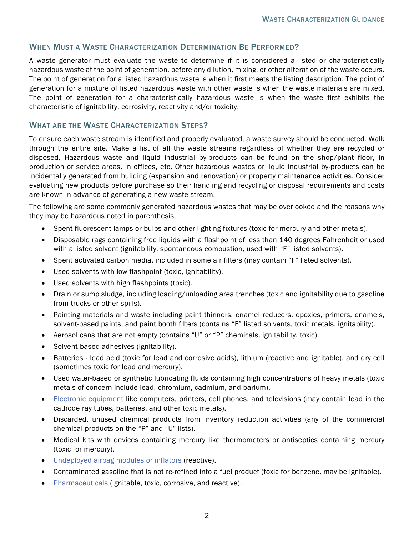# WHEN MUST A WASTE CHARACTERIZATION DETERMINATION BE PERFORMED?

A waste generator must evaluate the waste to determine if it is considered a listed or characteristically hazardous waste at the point of generation, before any dilution, mixing, or other alteration of the waste occurs. The point of generation for a listed hazardous waste is when it first meets the listing description. The point of generation for a mixture of listed hazardous waste with other waste is when the waste materials are mixed. The point of generation for a characteristically hazardous waste is when the waste first exhibits the characteristic of ignitability, corrosivity, reactivity and/or toxicity.

#### WHAT ARE THE WASTE CHARACTERIZATION STEPS?

To ensure each waste stream is identified and properly evaluated, a waste survey should be conducted. Walk through the entire site. Make a list of all the waste streams regardless of whether they are recycled or disposed. Hazardous waste and liquid industrial by-products can be found on the shop/plant floor, in production or service areas, in offices, etc. Other hazardous wastes or liquid industrial by-products can be incidentally generated from building (expansion and renovation) or property maintenance activities. Consider evaluating new products before purchase so their handling and recycling or disposal requirements and costs are known in advance of generating a new waste stream.

The following are some commonly generated hazardous wastes that may be overlooked and the reasons why they may be hazardous noted in parenthesis.

- Spent fluorescent lamps or bulbs and other lighting fixtures (toxic for mercury and other metals).
- Disposable rags containing free liquids with a flashpoint of less than 140 degrees Fahrenheit or used with a listed solvent (ignitability, spontaneous combustion, used with "F" listed solvents).
- Spent activated carbon media, included in some air filters (may contain "F" listed solvents).
- Used solvents with low flashpoint (toxic, ignitability).
- Used solvents with high flashpoints (toxic).
- Drain or sump sludge, including loading/unloading area trenches (toxic and ignitability due to gasoline from trucks or other spills).
- Painting materials and waste including paint thinners, enamel reducers, epoxies, primers, enamels, solvent-based paints, and paint booth filters (contains "F" listed solvents, toxic metals, ignitability).
- Aerosol cans that are not empty (contains "U" or "P" chemicals, ignitability. toxic).
- Solvent-based adhesives (ignitability).
- Batteries lead acid (toxic for lead and corrosive acids), lithium (reactive and ignitable), and dry cell (sometimes toxic for lead and mercury).
- Used water-based or synthetic lubricating fluids containing high concentrations of heavy metals (toxic metals of concern include lead, chromium, cadmium, and barium).
- Electronic [equipment](https://www.michigan.gov/documents/deq/deq-ead-tas-elecequp_305263_7.pdf) like computers, printers, cell phones, and televisions (may contain lead in the cathode ray tubes, batteries, and other toxic metals).
- Discarded, unused chemical products from inventory reduction activities (any of the commercial chemical products on the "P" and "U" lists).
- Medical kits with devices containing mercury like thermometers or antiseptics containing mercury (toxic for mercury).
- [Undeployed airbag modules or inflators](https://www.epa.gov/hw/interim-final-rule-safe-management-recalled-airbags) (reactive).
- Contaminated gasoline that is not re-refined into a fuel product (toxic for benzene, may be ignitable).
- [Pharmaceuticals](https://www.michigan.gov/documents/deq/deq-oea-owmrpGuidance-HandlingPharmWaste_558687_7.pdf) (ignitable, toxic, corrosive, and reactive).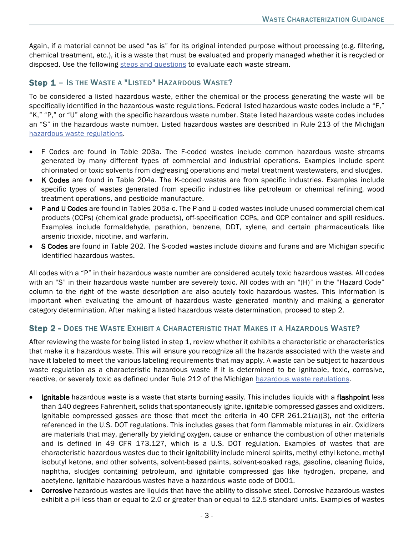Again, if a material cannot be used "as is" for its original intended purpose without processing (e.g. filtering, chemical treatment, etc.), it is a waste that must be evaluated and properly managed whether it is recycled or disposed. Use the following [steps and questions](https://www.michigan.gov/documents/deq/Waste_Characterization_Steps_and_Questions_474957_7.pdf) to evaluate each waste stream.

# Step 1 - Is the Waste a "Listed" Hazardous Waste?

To be considered a listed hazardous waste, either the chemical or the process generating the waste will be specifically identified in the hazardous waste regulations. Federal listed hazardous waste codes include a "F," "K," "P," or "U" along with the specific hazardous waste number. State listed hazardous waste codes includes an "S" in the hazardous waste number. Listed hazardous wastes are described in Rule 213 of the Michigan [hazardous waste regulations.](https://www.michigan.gov/documents/deq/deq-whm-hwp-Part111Rules_248146_7.pdf)

- F Codes are found in Table 203a. The F-coded wastes include common hazardous waste streams generated by many different types of commercial and industrial operations. Examples include spent chlorinated or toxic solvents from degreasing operations and metal treatment wastewaters, and sludges.
- K Codes are found in Table 204a. The K-coded wastes are from specific industries. Examples include specific types of wastes generated from specific industries like petroleum or chemical refining, wood treatment operations, and pesticide manufacture.
- P and U Codes are found in Tables 205a-c. The P and U-coded wastes include unused commercial chemical products (CCPs) (chemical grade products), off-specification CCPs, and CCP container and spill residues. Examples include formaldehyde, parathion, benzene, DDT, xylene, and certain pharmaceuticals like arsenic trioxide, nicotine, and warfarin.
- S Codes are found in Table 202. The S-coded wastes include dioxins and furans and are Michigan specific identified hazardous wastes.

All codes with a "P" in their hazardous waste number are considered acutely toxic hazardous wastes. All codes with an "S" in their hazardous waste number are severely toxic. All codes with an "(H)" in the "Hazard Code" column to the right of the waste description are also acutely toxic hazardous wastes. This information is important when evaluating the amount of hazardous waste generated monthly and making a generator category determination. After making a listed hazardous waste determination, proceed to step 2.

#### Step 2 - DOES THE WASTE EXHIBIT A CHARACTERISTIC THAT MAKES IT A HAZARDOUS WASTE?

After reviewing the waste for being listed in step 1, review whether it exhibits a characteristic or characteristics that make it a hazardous waste. This will ensure you recognize all the hazards associated with the waste and have it labeled to meet the various labeling requirements that may apply. A waste can be subject to hazardous waste regulation as a characteristic hazardous waste if it is determined to be ignitable, toxic, corrosive, reactive, or severely toxic as defined under Rule 212 of the Michigan [hazardous waste regulations.](https://www.michigan.gov/documents/deq/deq-whm-hwp-Part111Rules_248146_7.pdf)

- Ignitable hazardous waste is a waste that starts burning easily. This includes liquids with a flashpoint less than 140 degrees Fahrenheit, solids that spontaneously ignite, ignitable compressed gasses and oxidizers. Ignitable compressed gasses are those that meet the criteria in 40 CFR 261.21(a)(3), not the criteria referenced in the U.S. DOT regulations. This includes gases that form flammable mixtures in air. Oxidizers are materials that may, generally by yielding oxygen, cause or enhance the combustion of other materials and is defined in 49 CFR 173.127, which is a U.S. DOT regulation. Examples of wastes that are characteristic hazardous wastes due to their ignitability include mineral spirits, methyl ethyl ketone, methyl isobutyl ketone, and other solvents, solvent-based paints, solvent-soaked rags, gasoline, cleaning fluids, naphtha, sludges containing petroleum, and ignitable compressed gas like hydrogen, propane, and acetylene. Ignitable hazardous wastes have a hazardous waste code of D001.
- Corrosive hazardous wastes are liquids that have the ability to dissolve steel. Corrosive hazardous wastes exhibit a pH less than or equal to 2.0 or greater than or equal to 12.5 standard units. Examples of wastes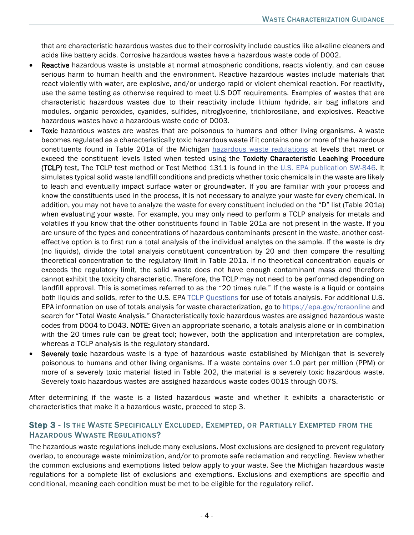that are characteristic hazardous wastes due to their corrosivity include caustics like alkaline cleaners and acids like battery acids. Corrosive hazardous wastes have a hazardous waste code of D002.

- Reactive hazardous waste is unstable at normal atmospheric conditions, reacts violently, and can cause serious harm to human health and the environment. Reactive hazardous wastes include materials that react violently with water, are explosive, and/or undergo rapid or violent chemical reaction. For reactivity, use the same testing as otherwise required to meet U.S DOT requirements. Examples of wastes that are characteristic hazardous wastes due to their reactivity include lithium hydride, air bag inflators and modules, organic peroxides, cyanides, sulfides, nitroglycerine, trichlorosilane, and explosives. Reactive hazardous wastes have a hazardous waste code of D003.
- **Toxic** hazardous wastes are wastes that are poisonous to humans and other living organisms. A waste becomes regulated as a characteristically toxic hazardous waste if it contains one or more of the hazardous constituents found in Table 201a of the Michigan [hazardous waste regulations](https://www.michigan.gov/documents/deq/deq-whm-hwp-Part111Rules_248146_7.pdf) at levels that meet or exceed the constituent levels listed when tested using the Toxicity Characteristic Leaching Procedure (TCLP) test. The TCLP test method or Test Method 1311 is found in the [U.S. EPA publication SW-846.](https://www.epa.gov/hw-sw846/sw-846-compendium) It simulates typical solid waste landfill conditions and predicts whether toxic chemicals in the waste are likely to leach and eventually impact surface water or groundwater. If you are familiar with your process and know the constituents used in the process, it is not necessary to analyze your waste for every chemical. In addition, you may not have to analyze the waste for every constituent included on the "D" list (Table 201a) when evaluating your waste. For example, you may only need to perform a TCLP analysis for metals and volatiles if you know that the other constituents found in Table 201a are not present in the waste. If you are unsure of the types and concentrations of hazardous contaminants present in the waste, another costeffective option is to first run a total analysis of the individual analytes on the sample. If the waste is dry (no liquids), divide the total analysis constituent concentration by 20 and then compare the resulting theoretical concentration to the regulatory limit in Table 201a. If no theoretical concentration equals or exceeds the regulatory limit, the solid waste does not have enough contaminant mass and therefore cannot exhibit the toxicity characteristic. Therefore, the TCLP may not need to be performed depending on landfill approval. This is sometimes referred to as the "20 times rule." If the waste is a liquid or contains both liquids and solids, refer to the U.S. EPA [TCLP Questions](https://waste.zendesk.com/hc/en-us/articles/217452377-Can-totals-analysis-be-used-in-lieu-of-the-TCLP-for-determining-the-toxicity-characteristic-) for use of totals analysis. For additional U.S. EPA information on use of totals analysis for waste characterization, go to <https://epa.gov/rcraonline> and search for "Total Waste Analysis." Characteristically toxic hazardous wastes are assigned hazardous waste codes from D004 to D043. NOTE: Given an appropriate scenario, a totals analysis alone or in combination with the 20 times rule can be great tool; however, both the application and interpretation are complex, whereas a TCLP analysis is the regulatory standard.
- Severely toxic hazardous waste is a type of hazardous waste established by Michigan that is severely poisonous to humans and other living organisms. If a waste contains over 1.0 part per million (PPM) or more of a severely toxic material listed in Table 202, the material is a severely toxic hazardous waste. Severely toxic hazardous wastes are assigned hazardous waste codes 001S through 007S.

After determining if the waste is a listed hazardous waste and whether it exhibits a characteristic or characteristics that make it a hazardous waste, proceed to step 3.

# Step 3 - IS THE WASTE SPECIFICALLY EXCLUDED, EXEMPTED, OR PARTIALLY EXEMPTED FROM THE HAZARDOUS WWASTE REGULATIONS?

The hazardous waste regulations include many exclusions. Most exclusions are designed to prevent regulatory overlap, to encourage waste minimization, and/or to promote safe reclamation and recycling. Review whether the common exclusions and exemptions listed below apply to your waste. See the Michigan hazardous waste regulations for a complete list of exclusions and exemptions. Exclusions and exemptions are specific and conditional, meaning each condition must be met to be eligible for the regulatory relief.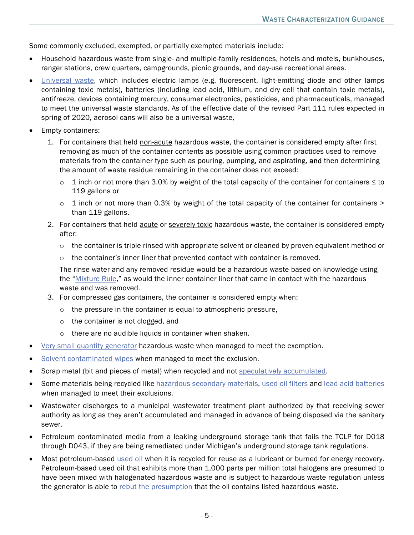Some commonly excluded, exempted, or partially exempted materials include:

- Household hazardous waste from single- and multiple-family residences, hotels and motels, bunkhouses, ranger stations, crew quarters, campgrounds, picnic grounds, and day-use recreational areas.
- **[Universal waste,](https://www.michigan.gov/documents/deq/deq-ead-tas-univwaste_320878_7.pdf) which includes electric lamps (e.g. fluorescent, light-emitting diode and other lamps** containing toxic metals), batteries (including lead acid, lithium, and dry cell that contain toxic metals), antifreeze, devices containing mercury, consumer electronics, pesticides, and pharmaceuticals, managed to meet the universal waste standards. As of the effective date of the revised Part 111 rules expected in spring of 2020, aerosol cans will also be a universal waste,
- Empty containers:
	- 1. For containers that held non-acute hazardous waste, the container is considered empty after first removing as much of the container contents as possible using common practices used to remove materials from the container type such as pouring, pumping, and aspirating, and then determining the amount of waste residue remaining in the container does not exceed:
		- $\circ$  1 inch or not more than 3.0% by weight of the total capacity of the container for containers  $\leq$  to 119 gallons or
		- $\circ$  1 inch or not more than 0.3% by weight of the total capacity of the container for containers  $\circ$ than 119 gallons.
	- 2. For containers that held acute or severely toxic hazardous waste, the container is considered empty after:
		- $\circ$  the container is triple rinsed with appropriate solvent or cleaned by proven equivalent method or
		- $\circ$  the container's inner liner that prevented contact with container is removed.

The rinse water and any removed residue would be a hazardous waste based on knowledge using the ["Mixture Rule,](https://waste.zendesk.com/hc/en-us/articles/211677628-What-did-EPA-finalize-under-the-2001-Hazardous-Waste-Identification-Rule-HWIR-)" as would the inner container liner that came in contact with the hazardous waste and was removed.

- 3. For compressed gas containers, the container is considered empty when:
	- o the pressure in the container is equal to atmospheric pressure,
	- o the container is not clogged, and
	- o there are no audible liquids in container when shaken.
- [Very small quantity generator](https://www.michigan.gov/documents/deq/deq-ead-tas-wmd-cesq0997_320886_7.pdf) hazardous waste when managed to meet the exemption.
- [Solvent contaminated wipes](https://www.michigan.gov/documents/deq/deq-wmrpd-hws-Solvent_Guidance_withForm_556834_7.pdf) when managed to meet the exclusion.
- Scrap metal (bit and pieces of metal) when recycled and not [speculatively accumulated.](https://archive.epa.gov/epawaste/hazard/web/pdf/g-spec.pdf)
- Some materials being recycled like [hazardous secondary materials,](https://www.michigan.gov/documents/deq/deq-oea-owmrpGuidance-HSM_576019_7.pdf) used [oil filters](http://www.michigan.gov/documents/deq/deq-ess-p2tas-oilfilters_190429_7.pdf) and [lead acid batteries](https://www.michigan.gov/documents/deq/deq-ead-tas-univwaste_320878_7.pdf) when managed to meet their exclusions.
- Wastewater discharges to a municipal wastewater treatment plant authorized by that receiving sewer authority as long as they aren't accumulated and managed in advance of being disposed via the sanitary sewer.
- Petroleum contaminated media from a leaking underground storage tank that fails the TCLP for D018 through D043, if they are being remediated under Michigan's underground storage tank regulations.
- Most petroleum-based [used oil](https://www.michigan.gov/documents/deq/deq-oea-wastecharacterization-ch9_498093_7.pdf) when it is recycled for reuse as a lubricant or burned for energy recovery. Petroleum-based used oil that exhibits more than 1,000 parts per million total halogens are presumed to have been mixed with halogenated hazardous waste and is subject to hazardous waste regulation unless the generator is able to [rebut the presumption](https://www.epa.gov/sites/production/files/2016-01/documents/905-r-03-005.pdf) that the oil contains listed hazardous waste.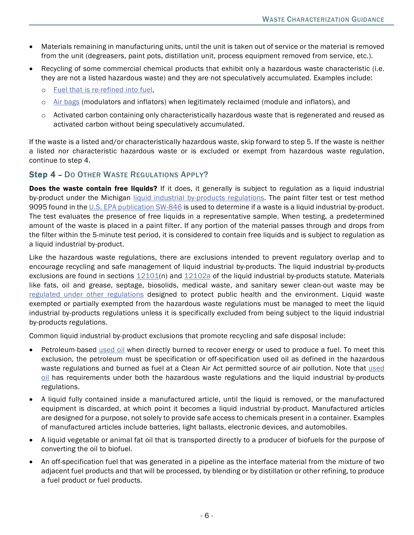- Materials remaining in manufacturing units, until the unit is taken out of service or the material is removed from the unit (degreasers, paint pots, distillation unit, process equipment removed from service, etc.).
- Recycling of some commercial chemical products that exhibit only a hazardous waste characteristic (i.e. they are not a listed hazardous waste) and they are not speculatively accumulated. Examples include:
	- o [Fuel that is re-refined into fuel,](https://rcrapublic.epa.gov/files/14883.pdf)
	- o [Air bags](https://www.epa.gov/sites/production/files/2018-08/documents/airbags_memo_signed_7-19-18.pdf) (modulators and inflators) when legitimately reclaimed (module and inflators), and
	- o Activated carbon containing only characteristically hazardous waste that is regenerated and reused as activated carbon without being speculatively accumulated.

If the waste is a listed and/or characteristically hazardous waste, skip forward to step 5. If the waste is neither a listed nor characteristic hazardous waste or is excluded or exempt from hazardous waste regulation, continue to step 4.

#### Step 4 – DO OTHER WASTE REGULATIONS APPLY?

**Does the waste contain free liquids?** If it does, it generally is subject to regulation as a liquid industrial by-product under the Michigan [liquid industrial by-products regulations.](http://www.legislature.mi.gov/(S(5wfeeqinkrjs2z55rqqis055))/documents/mcl/pdf/mcl-451-1994-ii-3-121.pdf) The paint filter test or test method 9095 found in the [U.S. EPA publication SW-846](https://www.epa.gov/hw-sw846/sw-846-compendium) is used to determine if a waste is a liquid industrial by-product. The test evaluates the presence of free liquids in a representative sample. When testing, a predetermined amount of the waste is placed in a paint filter. If any portion of the material passes through and drops from the filter within the 5-minute test period, it is considered to contain free liquids and is subject to regulation as a liquid industrial by-product.

Like the hazardous waste regulations, there are exclusions intended to prevent regulatory overlap and to encourage recycling and safe management of liquid industrial by-products. The liquid industrial by-products exclusions are found in sections [12101\(](http://www.legislature.mi.gov/(S(2j4tbew0bdawifytaomtalef))/mileg.aspx?page=getObject&objectName=mcl-324-12101)n) and [12102a](http://www.legislature.mi.gov/(S(trrqf0z1g25p4nnjvbuthhh0))/mileg.aspx?page=getObject&objectName=mcl-324-12102a) of the liquid industrial by-products statute. Materials like fats, oil and grease, septage, biosolids, medical waste, and sanitary sewer clean-out waste may be [regulated under other regulations](https://www.michigan.gov/documents/deq/deq-tou-wmrpd-hwlib-FacilityReportingRegulations_616388_7.pdf) designed to protect public health and the environment. Liquid waste exempted or partially exempted from the hazardous waste regulations must be managed to meet the liquid industrial by-products regulations unless it is specifically excluded from being subject to the liquid industrial by-products regulations.

Common liquid industrial by-product exclusions that promote recycling and safe disposal include:

- Petroleum-based [used oil](https://www.michigan.gov/documents/deq/deq-oea-wastecharacterization-ch9_498093_7.pdf) when directly burned to recover energy or used to produce a fuel. To meet this exclusion, the petroleum must be specification or off-specification used oil as defined in the hazardous waste regulations and burned as fuel at a Clean Air Act permitted source of air pollution. Note that used [oil](http://www.michigan.gov/documents/deq/deq-ead-tas-usedoil_320882_7.pdf) has requirements under both the hazardous waste regulations and the liquid industrial by-products regulations.
- A liquid fully contained inside a manufactured article, until the liquid is removed, or the manufactured equipment is discarded, at which point it becomes a liquid industrial by-product. Manufactured articles are designed for a purpose, not solely to provide safe access to chemicals present in a container. Examples of manufactured articles include batteries, light ballasts, electronic devices, and automobiles.
- A liquid vegetable or animal fat oil that is transported directly to a producer of biofuels for the purpose of converting the oil to biofuel.
- An off-specification fuel that was generated in a pipeline as the interface material from the mixture of two adjacent fuel products and that will be processed, by blending or by distillation or other refining, to produce a fuel product or fuel products.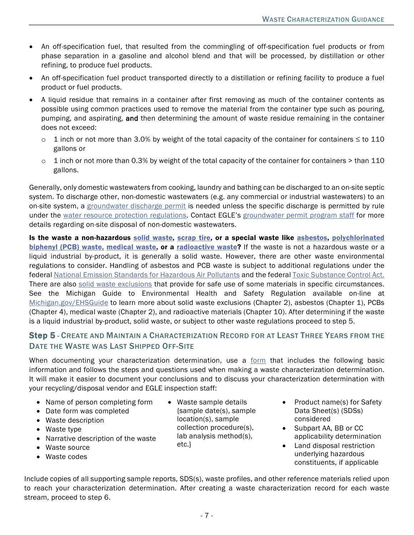- An off-specification fuel, that resulted from the commingling of off-specification fuel products or from phase separation in a gasoline and alcohol blend and that will be processed, by distillation or other refining, to produce fuel products.
- An off-specification fuel product transported directly to a distillation or refining facility to produce a fuel product or fuel products.
- A liquid residue that remains in a container after first removing as much of the container contents as possible using common practices used to remove the material from the container type such as pouring, pumping, and aspirating, and then determining the amount of waste residue remaining in the container does not exceed:
	- $\circ$  1 inch or not more than 3.0% by weight of the total capacity of the container for containers  $\leq$  to 110 gallons or
	- $\circ$  1 inch or not more than 0.3% by weight of the total capacity of the container for containers  $>$  than 110 gallons.

Generally, only domestic wastewaters from cooking, laundry and bathing can be discharged to an on-site septic system. To discharge other, non-domestic wastewaters (e.g. any commercial or industrial wastewaters) to an on-site system, a [groundwater discharge permit](http://www.michigan.gov/deq/0,1607,7-135-3313_4117---,00.html) is needed unless the specific discharge is permitted by rule under the [water resource protection regulations.](https://www.michigan.gov/egle/0,9429,7-135-3313_4117-9765--,00.html) Contact EGLE's [groundwater permit](http://www.michigan.gov/deq/0,4561,7-135-3313_4117-104871--,00.html) program staff for more details regarding on-site disposal of non-domestic wastewaters.

Is the waste a non-hazardous [solid waste,](https://www.michigan.gov/egle/0,9429,7-135-3312_4123---,00.html) [scrap tire,](http://www.michigan.gov/scraptires) or a special waste like [asbestos,](https://www.michigan.gov/egle/0,9429,7-135-3310_4106-11856--,00.html) polychlorinated [biphenyl](http://www.epa.gov/wastes/hazard/tsd/pcbs/pubs/laws.htm) (PCB) waste, [medical](http://www.michigan.gov/deq/0,1607,7-135-3312_4119---,00.html) waste, or a [radioactive waste?](http://www.michigan.gov/deq/0,1607,7-135-3312_4120_4244---,00.html) If the waste is not a hazardous waste or a liquid industrial by-product, it is generally a solid waste. However, there are other waste environmental regulations to consider. Handling of asbestos and PCB waste is subject to additional regulations under the federal [National Emission Standards for Hazardous Air Pollutants](http://www.michigan.gov/deq/0,1607,7-135-3310_4106-11856--,00.html) and the federal [Toxic Substance Control Act.](https://www.epa.gov/laws-regulations/summary-toxic-substances-control-act) There are also [solid waste exclusions](https://www.michigan.gov/egle/0,9429,7-135-3312_4123-14201--,00.html) that provide for safe use of some materials in specific circumstances. See the Michigan Guide to Environmental Health and Safety Regulation available on-line at [Michigan.gov/EHSGuide](http://www.michigan.gov/EHSGuide) to learn more about solid waste exclusions (Chapter 2), asbestos (Chapter 1), PCBs (Chapter 4), medical waste (Chapter 2), and radioactive materials (Chapter 10). After determining if the waste is a liquid industrial by-product, solid waste, or subject to other waste regulations proceed to step 5.

# Step 5 - CREATE AND MAINTAIN A CHARACTERIZATION RECORD FOR AT LEAST THREE YEARS FROM THE DATE THE WASTE WAS LAST SHIPPED OFF-SITE

When documenting your characterization determination, use a [form](http://www.michigan.gov/documents/deq/Optional_Waste_Characterization_Record_Form_460914_7.pdf) that includes the following basic information and follows the steps and questions used when making a waste characterization determination. It will make it easier to document your conclusions and to discuss your characterization determination with your recycling/disposal vendor and EGLE inspection staff:

- Name of person completing form
- Date form was completed
- Waste description
- Waste type
- Narrative description of the waste
- Waste source
- Waste codes
- Waste sample details {sample date(s), sample location(s), sample collection procedure(s), lab analysis method(s), etc.}
- Product name(s) for Safety Data Sheet(s) (SDSs) considered
- Subpart AA, BB or CC applicability determination
- Land disposal restriction underlying hazardous constituents, if applicable

Include copies of all supporting sample reports, SDS(s), waste profiles, and other reference materials relied upon to reach your characterization determination. After creating a waste characterization record for each waste stream, proceed to step 6.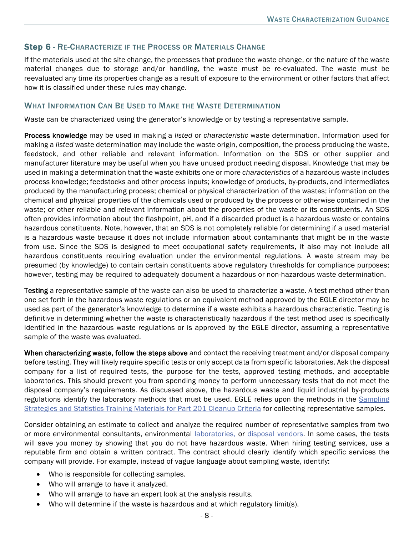# Step 6 - RE-CHARACTERIZE IF THE PROCESS OR MATERIALS CHANGE

If the materials used at the site change, the processes that produce the waste change, or the nature of the waste material changes due to storage and/or handling, the waste must be re-evaluated. The waste must be reevaluated any time its properties change as a result of exposure to the environment or other factors that affect how it is classified under these rules may change.

#### WHAT INFORMATION CAN BE USED TO MAKE THE WASTE DETERMINATION

Waste can be characterized using the generator's knowledge or by testing a representative sample.

Process knowledge may be used in making a *listed* or *characteristic* waste determination. Information used for making a *listed* waste determination may include the waste origin, composition, the process producing the waste, feedstock, and other reliable and relevant information. Information on the SDS or other supplier and manufacturer literature may be useful when you have unused product needing disposal. Knowledge that may be used in making a determination that the waste exhibits one or more *characteristics* of a hazardous waste includes process knowledge; feedstocks and other process inputs; knowledge of products, by-products, and intermediates produced by the manufacturing process; chemical or physical characterization of the wastes; information on the chemical and physical properties of the chemicals used or produced by the process or otherwise contained in the waste; or other reliable and relevant information about the properties of the waste or its constituents. An SDS often provides information about the flashpoint, pH, and if a discarded product is a hazardous waste or contains hazardous constituents. Note, however, that an SDS is not completely reliable for determining if a used material is a hazardous waste because it does not include information about contaminants that might be in the waste from use. Since the SDS is designed to meet occupational safety requirements, it also may not include all hazardous constituents requiring evaluation under the environmental regulations. A waste stream may be presumed (by knowledge) to contain certain constituents above regulatory thresholds for compliance purposes; however, testing may be required to adequately document a hazardous or non-hazardous waste determination.

Testing a representative sample of the waste can also be used to characterize a waste. A test method other than one set forth in the hazardous waste regulations or an equivalent method approved by the EGLE director may be used as part of the generator's knowledge to determine if a waste exhibits a hazardous characteristic. Testing is definitive in determining whether the waste is characteristically hazardous if the test method used is specifically identified in the hazardous waste regulations or is approved by the EGLE director, assuming a representative sample of the waste was evaluated.

When characterizing waste, follow the steps above and contact the receiving treatment and/or disposal company before testing. They will likely require specific tests or only accept data from specific laboratories. Ask the disposal company for a list of required tests, the purpose for the tests, approved testing methods, and acceptable laboratories. This should prevent you from spending money to perform unnecessary tests that do not meet the disposal company's requirements. As discussed above, the hazardous waste and liquid industrial by-products regulations identify the laboratory methods that must be used. EGLE relies upon the methods in the [Sampling](http://www.michigan.gov/documents/deq/deq-erd-stats-s3tm_250015_7.pdf)  [Strategies and Statistics Training Materials for Part 201 Cleanup Criteria](http://www.michigan.gov/documents/deq/deq-erd-stats-s3tm_250015_7.pdf) for collecting representative samples.

Consider obtaining an estimate to collect and analyze the required number of representative samples from two or more environmental consultants, environmental **laboratories**, or [disposal vendors.](http://www.michigan.gov/documents/deq/deq-oea-hhw-disposalcompanies_530187_7.pdf) In some cases, the tests will save you money by showing that you do not have hazardous waste. When hiring testing services, use a reputable firm and obtain a written contract. The contract should clearly identify which specific services the company will provide. For example, instead of vague language about sampling waste, identify:

- Who is responsible for collecting samples.
- Who will arrange to have it analyzed.
- Who will arrange to have an expert look at the analysis results.
- Who will determine if the waste is hazardous and at which regulatory limit(s).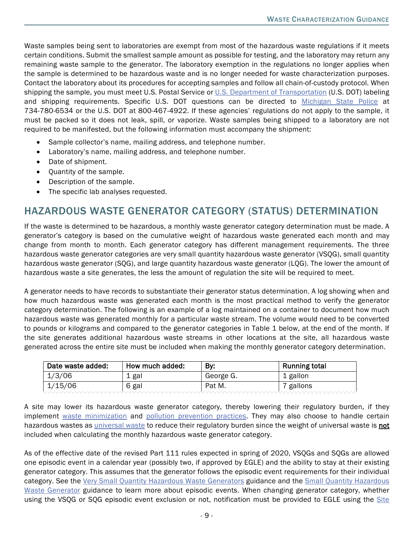Waste samples being sent to laboratories are exempt from most of the hazardous waste regulations if it meets certain conditions. Submit the smallest sample amount as possible for testing, and the laboratory may return any remaining waste sample to the generator. The laboratory exemption in the regulations no longer applies when the sample is determined to be hazardous waste and is no longer needed for waste characterization purposes. Contact the laboratory about its procedures for accepting samples and follow all chain-of-custody protocol. When shipping the sample, you must meet U.S. Postal Service or [U.S. Department of Transportation](http://www.phmsa.dot.gov/hazmat) (U.S. DOT) labeling and shipping requirements. Specific U.S. DOT questions can be directed to [Michigan State Police](https://www.michigan.gov/documents/msp/CVE_Contact_Directory_343309_7.pdf) at 734-780-6534 or the U.S. DOT at 800-467-4922. If these agencies' regulations do not apply to the sample, it must be packed so it does not leak, spill, or vaporize. Waste samples being shipped to a laboratory are not required to be manifested, but the following information must accompany the shipment:

- Sample collector's name, mailing address, and telephone number.
- Laboratory's name, mailing address, and telephone number.
- Date of shipment.
- Quantity of the sample.
- Description of the sample.
- The specific lab analyses requested.

# HAZARDOUS WASTE GENERATOR CATEGORY (STATUS) DETERMINATION

If the waste is determined to be hazardous, a monthly waste generator category determination must be made. A generator's category is based on the cumulative weight of hazardous waste generated each month and may change from month to month. Each generator category has different management requirements. The three hazardous waste generator categories are very small quantity hazardous waste generator (VSQG), small quantity hazardous waste generator (SQG), and large quantity hazardous waste generator (LQG). The lower the amount of hazardous waste a site generates, the less the amount of regulation the site will be required to meet.

A generator needs to have records to substantiate their generator status determination. A log showing when and how much hazardous waste was generated each month is the most practical method to verify the generator category determination. The following is an example of a log maintained on a container to document how much hazardous waste was generated monthly for a particular waste stream. The volume would need to be converted to pounds or kilograms and compared to the generator categories in Table 1 below, at the end of the month. If the site generates additional hazardous waste streams in other locations at the site, all hazardous waste generated across the entire site must be included when making the monthly generator category determination.

| Date waste added: | How much added: | By:       | <b>Running total</b> |
|-------------------|-----------------|-----------|----------------------|
| 1/3/06            | ⊥ gal           | George G. | 1 gallon             |
| 1/15/06           | 6 gal           | Pat M.    | gallons              |

A site may lower its hazardous waste generator category, thereby lowering their regulatory burden, if they implement [waste minimization](http://nepis.epa.gov/EPA/html/DLwait.htm?url=/Exe/ZyPDF.cgi/30004DK5.PDF?Dockey=30004DK5.PDF) and [pollution prevention practices.](http://www.michigan.gov/documents/deq/deq-ess-caap-manufguide-chap12_313440_7.pdf) They may also choose to handle certain hazardous wastes as *universal waste* to reduce their regulatory burden since the weight of [universal waste](http://www.michigan.gov/documents/deq/deq-ead-tas-univwaste_320878_7.pdf) is **not** included when calculating the monthly hazardous waste generator category.

As of the effective date of the revised Part 111 rules expected in spring of 2020, VSQGs and SQGs are allowed one episodic event in a calendar year (possibly two, if approved by EGLE) and the ability to stay at their existing generator category. This assumes that the generator follows the episodic event requirements for their individual category. See the [Very Small Quantity Hazardous Waste Generators](https://www.michigan.gov/documents/deq/deq-ead-tas-wmd-cesq0997_320886_7.pdf) guidance and the [Small Quantity Hazardous](https://www.michigan.gov/documents/deq/deq-ead-tas-wmd-smallqgr_320912_7.pdf)  [Waste Generator](https://www.michigan.gov/documents/deq/deq-ead-tas-wmd-smallqgr_320912_7.pdf) guidance to learn more about episodic events. When changing generator category, whether using the VSQG or SQG episodic event exclusion or not, notification must be provided to EGLE using the [Site](https://www.michigan.gov/egle/0,9429,7-135-3312_4118_4240-9198--,00.htmlhttps:/www.michigan.gov/egle/0,9429,7-135-3312_4118_4240-9198--,00.html)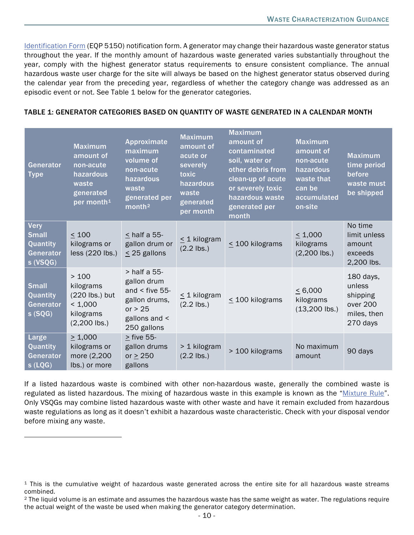[Identification Form](https://www.michigan.gov/egle/0,9429,7-135-3312_4118_4240-9198--,00.htmlhttps:/www.michigan.gov/egle/0,9429,7-135-3312_4118_4240-9198--,00.html) (EQP 5150) notification form. A generator may change their hazardous waste generator status throughout the year. If the monthly amount of hazardous waste generated varies substantially throughout the year, comply with the highest generator status requirements to ensure consistent compliance. The annual hazardous waste user charge for the site will always be based on the highest generator status observed during the calendar year from the preceding year, regardless of whether the category change was addressed as an episodic event or not. See Table 1 below for the generator categories.

#### TABLE 1: GENERATOR CATEGORIES BASED ON QUANTITY OF WASTE GENERATED IN A CALENDAR MONTH

| Generator<br><b>Type</b>                                         | <b>Maximum</b><br>amount of<br>non-acute<br>hazardous<br>waste<br>generated<br>per month <sup>1</sup> | Approximate<br>maximum<br>volume of<br>non-acute<br>hazardous<br>waste<br>generated per<br>month <sup>2</sup>     | <b>Maximum</b><br>amount of<br>acute or<br>severely<br>toxic<br>hazardous<br>waste<br>generated<br>per month | <b>Maximum</b><br>amount of<br>contaminated<br>soil, water or<br>other debris from<br>clean-up of acute<br>or severely toxic<br>hazardous waste<br>generated per<br>month | <b>Maximum</b><br>amount of<br>non-acute<br>hazardous<br>waste that<br>can be<br>accumulated<br>on-site | <b>Maximum</b><br>time period<br>before<br>waste must<br>be shipped    |
|------------------------------------------------------------------|-------------------------------------------------------------------------------------------------------|-------------------------------------------------------------------------------------------------------------------|--------------------------------------------------------------------------------------------------------------|---------------------------------------------------------------------------------------------------------------------------------------------------------------------------|---------------------------------------------------------------------------------------------------------|------------------------------------------------------------------------|
| Very<br><b>Small</b><br>Quantity<br><b>Generator</b><br>s (VSQG) | < 100<br>kilograms or<br>$less (220$ lbs.)                                                            | $<$ half a 55-<br>gallon drum or<br>$\leq$ 25 gallons                                                             | $\leq$ 1 kilogram<br>$(2.2$ lbs.)                                                                            | $\leq$ 100 kilograms                                                                                                                                                      | $\leq 1,000$<br>kilograms<br>$(2,200$ lbs.)                                                             | No time<br>limit unless<br>amount<br>exceeds<br>2,200 lbs.             |
| Small<br>Quantity<br>Generator<br>s(SQG)                         | >100<br>kilograms<br>(220 lbs.) but<br>< 1,000<br>kilograms<br>$(2,200$ lbs.)                         | $>$ half a 55-<br>gallon drum<br>and $\le$ five 55-<br>gallon drums,<br>or $> 25$<br>gallons and <<br>250 gallons | $\leq$ 1 kilogram<br>$(2.2$ lbs.)                                                                            | $\leq$ 100 kilograms                                                                                                                                                      | $\leq 6,000$<br>kilograms<br>$(13,200$ lbs.)                                                            | 180 days,<br>unless<br>shipping<br>over 200<br>miles, then<br>270 days |
| Large<br>Quantity<br>Generator<br>s( LQG)                        | $\geq 1,000$<br>kilograms or<br>more (2,200<br>Ibs.) or more                                          | > five 55-<br>gallon drums<br>or $\geq$ 250<br>gallons                                                            | > 1 kilogram<br>$(2.2$ lbs.)                                                                                 | > 100 kilograms                                                                                                                                                           | No maximum<br>amount                                                                                    | 90 days                                                                |

If a listed hazardous waste is combined with other non-hazardous waste, generally the combined waste is regulated as listed hazardous. The mixing of hazardous waste in this example is known as the ["Mixture Rule"](https://waste.zendesk.com/hc/en-us/articles/211677628-What-did-EPA-finalize-under-the-2001-Hazardous-Waste-Identification-Rule-HWIR-). Only VSQGs may combine listed hazardous waste with other waste and have it remain excluded from hazardous waste regulations as long as it doesn't exhibit a hazardous waste characteristic. Check with your disposal vendor before mixing any waste.

<span id="page-9-0"></span><sup>&</sup>lt;sup>1</sup> This is the cumulative weight of hazardous waste generated across the entire site for all hazardous waste streams combined.

<span id="page-9-1"></span><sup>&</sup>lt;sup>2</sup> The liquid volume is an estimate and assumes the hazardous waste has the same weight as water. The regulations require the actual weight of the waste be used when making the generator category determination.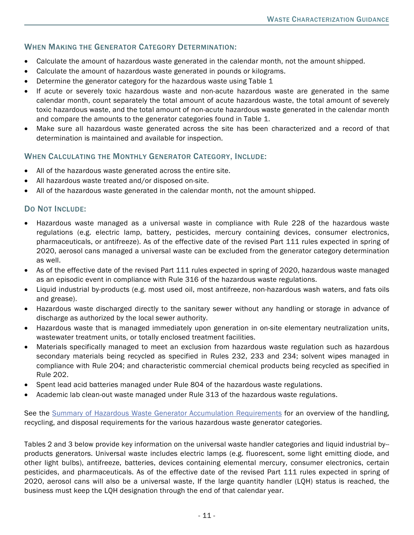# WHEN MAKING THE GENERATOR CATEGORY DETERMINATION:

- Calculate the amount of hazardous waste generated in the calendar month, not the amount shipped.
- Calculate the amount of hazardous waste generated in pounds or kilograms.
- Determine the generator category for the hazardous waste using Table 1
- If acute or severely toxic hazardous waste and non-acute hazardous waste are generated in the same calendar month, count separately the total amount of acute hazardous waste, the total amount of severely toxic hazardous waste, and the total amount of non-acute hazardous waste generated in the calendar month and compare the amounts to the generator categories found in Table 1.
- Make sure all hazardous waste generated across the site has been characterized and a record of that determination is maintained and available for inspection.

#### WHEN CALCULATING THE MONTHLY GENERATOR CATEGORY, INCLUDE:

- All of the hazardous waste generated across the entire site.
- All hazardous waste treated and/or disposed on-site.
- All of the hazardous waste generated in the calendar month, not the amount shipped.

#### DO NOT INCLUDE:

- Hazardous waste managed as a universal waste in compliance with Rule 228 of the hazardous waste regulations (e.g. electric lamp, battery, pesticides, mercury containing devices, consumer electronics, pharmaceuticals, or antifreeze). As of the effective date of the revised Part 111 rules expected in spring of 2020, aerosol cans managed a universal waste can be excluded from the generator category determination as well.
- As of the effective date of the revised Part 111 rules expected in spring of 2020, hazardous waste managed as an episodic event in compliance with Rule 316 of the hazardous waste regulations.
- Liquid industrial by-products (e.g. most used oil, most antifreeze, non-hazardous wash waters, and fats oils and grease).
- Hazardous waste discharged directly to the sanitary sewer without any handling or storage in advance of discharge as authorized by the local sewer authority.
- Hazardous waste that is managed immediately upon generation in on-site elementary neutralization units, wastewater treatment units, or totally enclosed treatment facilities.
- Materials specifically managed to meet an exclusion from hazardous waste regulation such as hazardous secondary materials being recycled as specified in Rules 232, 233 and 234; solvent wipes managed in compliance with Rule 204; and characteristic commercial chemical products being recycled as specified in Rule 202.
- Spent lead acid batteries managed under Rule 804 of the hazardous waste regulations.
- Academic lab clean-out waste managed under Rule 313 of the hazardous waste regulations.

See the [Summary of Hazardous Waste Generator Accumulation Requirements](http://www.michigan.gov/documents/deq/deq-oea-owmrpGuidance-HazWasteReqSummary_542291_7.pdf) for an overview of the handling, recycling, [and disposal requirements for the various hazardous waste generator categories.](http://www.michigan.gov/documents/deq/deq-oea-owmrpGuidance-HazWasteReqSummary_542291_7.pdf)

Tables 2 and 3 below provide key information on the universal waste handler categories and liquid industrial by- products generators. Universal waste includes electric lamps (e.g. fluorescent, some light emitting diode, and other light bulbs), antifreeze, batteries, devices containing elemental mercury, consumer electronics, certain pesticides, and pharmaceuticals. As of the effective date of the revised Part 111 rules expected in spring of 2020, aerosol cans will also be a universal waste, If the large quantity handler (LQH) status is reached, the business must keep the LQH designation through the end of that calendar year.